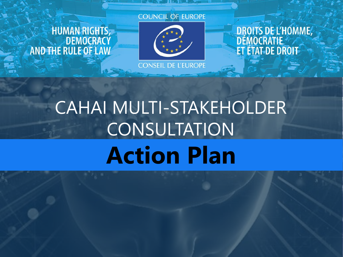# HUMAN RIGHTS,<br>DEMOCRACY<br>AND THE RULE OF LAW





**CONSEIL DE L'EUROPE** 

DROITS DE L'HOMME,<br>DÉMOCRATIE<br>ET ÉTAT DE DROIT

# CAHAI MULTI-STAKEHOLDER CONSULTATION **Action Plan**

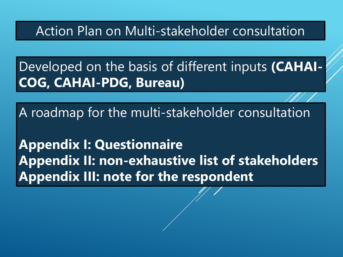Action Plan on Multi-stakeholder consultation

Developed on the basis of different inputs **(CAHAI-COG, CAHAI-PDG, Bureau)**

A roadmap for the multi-stakeholder consultation

**Appendix I: Questionnaire Appendix II: non-exhaustive list of stakeholders Appendix III: note for the respondent**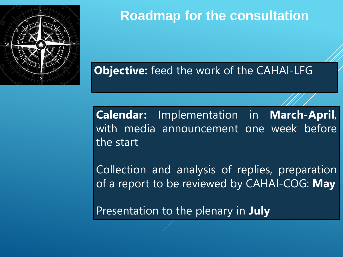

**Objective:** feed the work of the CAHAI-LFG

**Calendar:** Implementation in **March-April**, with media announcement one week before the start

Collection and analysis of replies, preparation of a report to be reviewed by CAHAI-COG: **May**

Presentation to the plenary in **July**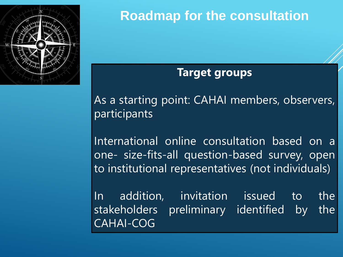

# **Target groups**

As a starting point: CAHAI members, observers, participants

International online consultation based on a one- size-fits-all question-based survey, open to institutional representatives (not individuals)

In addition, invitation issued to the stakeholders preliminary identified by the CAHAI-COG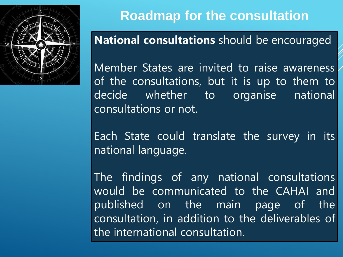

# **National consultations** should be encouraged

Member States are invited to raise awareness of the consultations, but it is up to them to decide whether to organise national consultations or not.

Each State could translate the survey in its national language.

The findings of any national consultations would be communicated to the CAHAI and published on the main page of the consultation, in addition to the deliverables of the international consultation.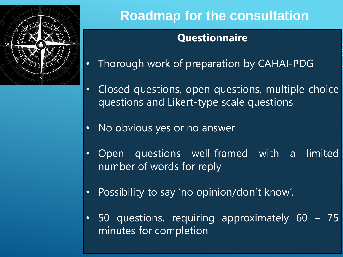

# **Questionnaire**

- Thorough work of preparation by CAHAI-PDG
- Closed questions, open questions, multiple choice questions and Likert-type scale questions
- No obvious yes or no answer
- Open questions well-framed with a limited number of words for reply
- Possibility to say 'no opinion/don't know'.
- 50 questions, requiring approximately 60 75 minutes for completion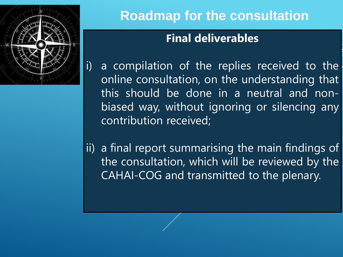

# **Final deliverables**

- i) a compilation of the replies received to the online consultation, on the understanding that this should be done in a neutral and nonbiased way, without ignoring or silencing any contribution received;
- ii) a final report summarising the main findings of the consultation, which will be reviewed by the CAHAI-COG and transmitted to the plenary.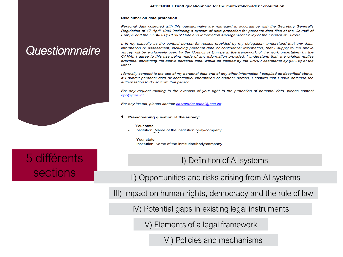## *Questionnnaire*



#### **Disclaimer on data protection**

Personal data collected with this questionnaire are managed in accordance with the Secretary General's Requlation of 17 April 1989 instituting a system of data protection for personal data files at the Council of Europe and the DGA/DIT(2013)02 Data and Information Management Policy of the Council of Europe.

I, in my capacity as the contact person for replies provided by my delegation, understand that any data, information or assessment, including personal data or confidential information, that I supply to the above survey will be exclusively used by the Council of Europe in the framework of the work undertaken by the CAHAI. I agree to this use being made of any information provided. I understand that, the original replies provided, containing the above personal data, would be deleted by the CAHAI secretariat by [DATE] at the latest.

I formally consent to the use of my personal data and of any other information I supplied as described above. If I submit personal data or confidential information of another person, I confirm that I have obtained the authorisation to do so from that person.

For any request relating to the exercise of your right to the protection of personal data, please contact dpo@coe.int.

For any issues, please contact secretariat.cahai@coe.int

#### 1. Pre-screening question of the survey:

- Your state
- Institution: Name of the institution/body/company
- Your state
- Institution: Name of the institution/body/company

## 5 différents sections

I) Definition of AI systems

II) Opportunities and risks arising from AI systems

III) Impact on human rights, democracy and the rule of law

IV) Potential gaps in existing legal instruments

V) Elements of a legal framework

VI) Policies and mechanisms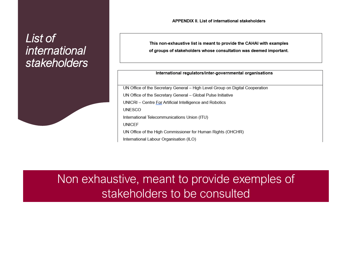### *List of international stakeholders*



**APPENDIX II. List of international stakeholders** 

This non-exhaustive list is meant to provide the CAHAI with examples of groups of stakeholders whose consultation was deemed important.

#### International regulators/inter-governmental organisations

UN Office of the Secretary General - High Level Group on Digital Cooperation UN Office of the Secretary General - Global Pulse Initiative UNICRI - Centre For Artificial Intelligence and Robotics **UNESCO** International Telecommunications Union (ITU) **UNICEF** UN Office of the High Commissioner for Human Rights (OHCHR) International Labour Organisation (ILO)

Non exhaustive, meant to provide exemples of stakeholders to be consulted